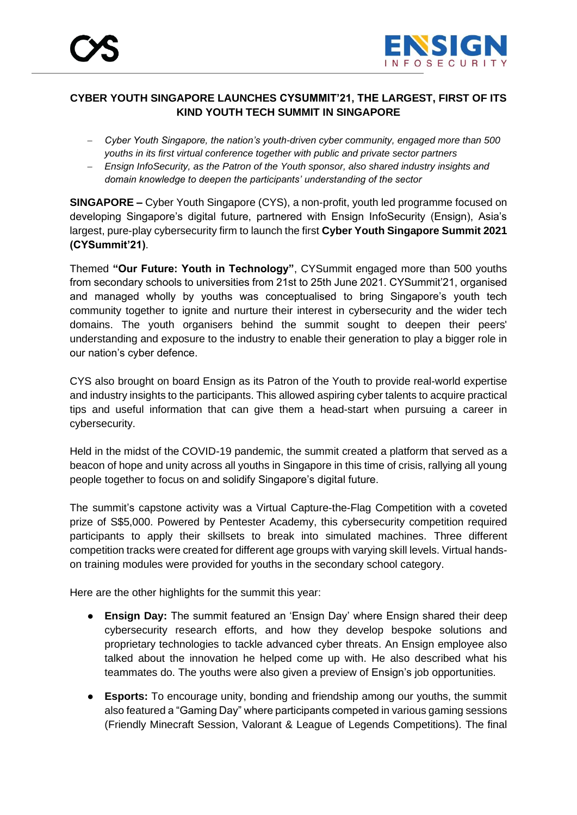

# **CYBER YOUTH SINGAPORE LAUNCHES CYSUMMIT'21, THE LARGEST, FIRST OF ITS KIND YOUTH TECH SUMMIT IN SINGAPORE**

- − *Cyber Youth Singapore, the nation's youth-driven cyber community, engaged more than 500 youths in its first virtual conference together with public and private sector partners*
- − *Ensign InfoSecurity, as the Patron of the Youth sponsor, also shared industry insights and domain knowledge to deepen the participants' understanding of the sector*

**SINGAPORE –** Cyber Youth Singapore (CYS), a non-profit, youth led programme focused on developing Singapore's digital future, partnered with Ensign InfoSecurity (Ensign), Asia's largest, pure-play cybersecurity firm to launch the first **Cyber Youth Singapore Summit 2021 (CYSummit'21)**.

Themed **"Our Future: Youth in Technology"**, CYSummit engaged more than 500 youths from secondary schools to universities from 21st to 25th June 2021. CYSummit'21, organised and managed wholly by youths was conceptualised to bring Singapore's youth tech community together to ignite and nurture their interest in cybersecurity and the wider tech domains. The youth organisers behind the summit sought to deepen their peers' understanding and exposure to the industry to enable their generation to play a bigger role in our nation's cyber defence.

CYS also brought on board Ensign as its Patron of the Youth to provide real-world expertise and industry insights to the participants. This allowed aspiring cyber talents to acquire practical tips and useful information that can give them a head-start when pursuing a career in cybersecurity.

Held in the midst of the COVID-19 pandemic, the summit created a platform that served as a beacon of hope and unity across all youths in Singapore in this time of crisis, rallying all young people together to focus on and solidify Singapore's digital future.

The summit's capstone activity was a Virtual Capture-the-Flag Competition with a coveted prize of S\$5,000. Powered by Pentester Academy, this cybersecurity competition required participants to apply their skillsets to break into simulated machines. Three different competition tracks were created for different age groups with varying skill levels. Virtual handson training modules were provided for youths in the secondary school category.

Here are the other highlights for the summit this year:

- **Ensign Day:** The summit featured an 'Ensign Day' where Ensign shared their deep cybersecurity research efforts, and how they develop bespoke solutions and proprietary technologies to tackle advanced cyber threats. An Ensign employee also talked about the innovation he helped come up with. He also described what his teammates do. The youths were also given a preview of Ensign's job opportunities.
- **Esports:** To encourage unity, bonding and friendship among our youths, the summit also featured a "Gaming Day" where participants competed in various gaming sessions (Friendly Minecraft Session, Valorant & League of Legends Competitions). The final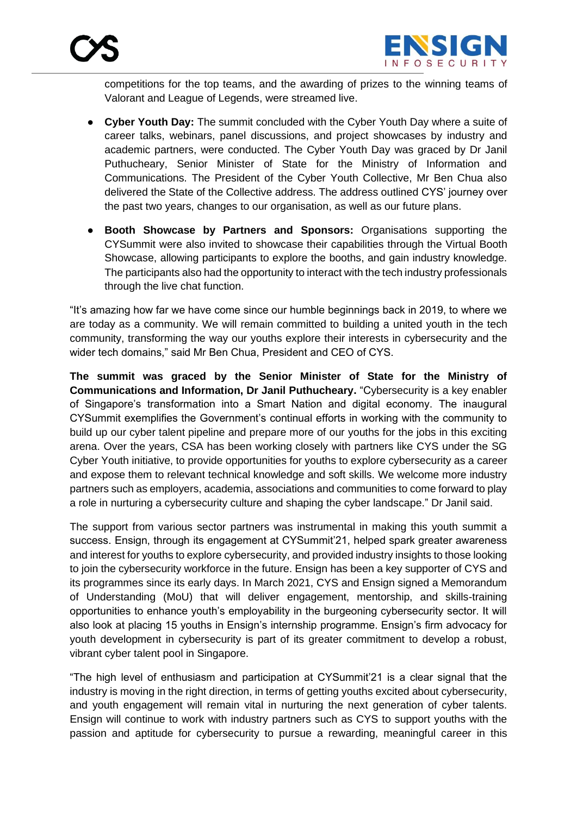

competitions for the top teams, and the awarding of prizes to the winning teams of Valorant and League of Legends, were streamed live.

- **Cyber Youth Day:** The summit concluded with the Cyber Youth Day where a suite of career talks, webinars, panel discussions, and project showcases by industry and academic partners, were conducted. The Cyber Youth Day was graced by Dr Janil Puthucheary, Senior Minister of State for the Ministry of Information and Communications. The President of the Cyber Youth Collective, Mr Ben Chua also delivered the State of the Collective address. The address outlined CYS' journey over the past two years, changes to our organisation, as well as our future plans.
- **Booth Showcase by Partners and Sponsors:** Organisations supporting the CYSummit were also invited to showcase their capabilities through the Virtual Booth Showcase, allowing participants to explore the booths, and gain industry knowledge. The participants also had the opportunity to interact with the tech industry professionals through the live chat function.

"It's amazing how far we have come since our humble beginnings back in 2019, to where we are today as a community. We will remain committed to building a united youth in the tech community, transforming the way our youths explore their interests in cybersecurity and the wider tech domains," said Mr Ben Chua, President and CEO of CYS.

**The summit was graced by the Senior Minister of State for the Ministry of Communications and Information, Dr Janil Puthucheary.** "Cybersecurity is a key enabler of Singapore's transformation into a Smart Nation and digital economy. The inaugural CYSummit exemplifies the Government's continual efforts in working with the community to build up our cyber talent pipeline and prepare more of our youths for the jobs in this exciting arena. Over the years, CSA has been working closely with partners like CYS under the SG Cyber Youth initiative, to provide opportunities for youths to explore cybersecurity as a career and expose them to relevant technical knowledge and soft skills. We welcome more industry partners such as employers, academia, associations and communities to come forward to play a role in nurturing a cybersecurity culture and shaping the cyber landscape." Dr Janil said.

The support from various sector partners was instrumental in making this youth summit a success. Ensign, through its engagement at CYSummit'21, helped spark greater awareness and interest for youths to explore cybersecurity, and provided industry insights to those looking to join the cybersecurity workforce in the future. Ensign has been a key supporter of CYS and its programmes since its early days. In March 2021, CYS and Ensign signed a Memorandum of Understanding (MoU) that will deliver engagement, mentorship, and skills-training opportunities to enhance youth's employability in the burgeoning cybersecurity sector. It will also look at placing 15 youths in Ensign's internship programme. Ensign's firm advocacy for youth development in cybersecurity is part of its greater commitment to develop a robust, vibrant cyber talent pool in Singapore.

"The high level of enthusiasm and participation at CYSummit'21 is a clear signal that the industry is moving in the right direction, in terms of getting youths excited about cybersecurity, and youth engagement will remain vital in nurturing the next generation of cyber talents. Ensign will continue to work with industry partners such as CYS to support youths with the passion and aptitude for cybersecurity to pursue a rewarding, meaningful career in this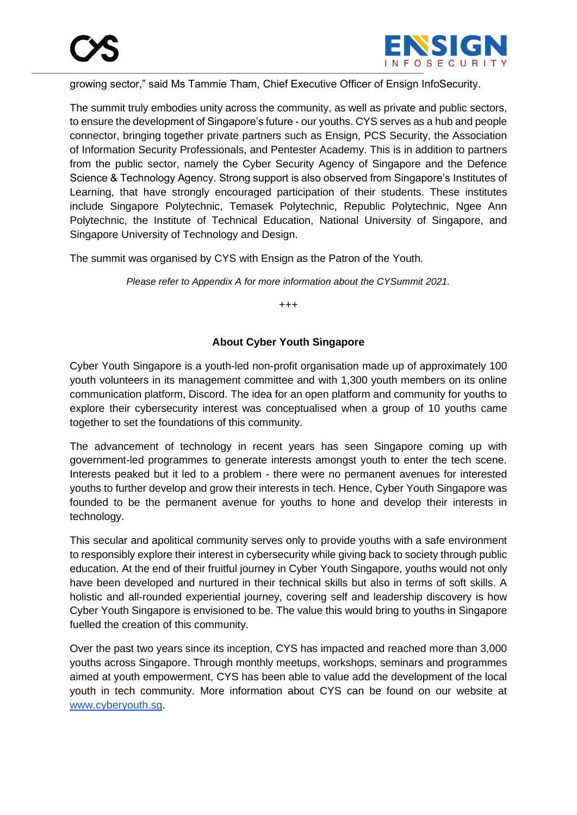

growing sector," said Ms Tammie Tham, Chief Executive Officer of Ensign InfoSecurity.

The summit truly embodies unity across the community, as well as private and public sectors, to ensure the development of Singapore's future - our youths. CYS serves as a hub and people connector, bringing together private partners such as Ensign, PCS Security, the Association of Information Security Professionals, and Pentester Academy. This is in addition to partners from the public sector, namely the Cyber Security Agency of Singapore and the Defence Science & Technology Agency. Strong support is also observed from Singapore's Institutes of Learning, that have strongly encouraged participation of their students. These institutes include Singapore Polytechnic, Temasek Polytechnic, Republic Polytechnic, Ngee Ann Polytechnic, the Institute of Technical Education, National University of Singapore, and Singapore University of Technology and Design.

The summit was organised by CYS with Ensign as the Patron of the Youth.

*Please refer to Appendix A for more information about the CYSummit 2021.*

+++

#### **About Cyber Youth Singapore**

Cyber Youth Singapore is a youth-led non-profit organisation made up of approximately 100 youth volunteers in its management committee and with 1,300 youth members on its online communication platform, Discord. The idea for an open platform and community for youths to explore their cybersecurity interest was conceptualised when a group of 10 youths came together to set the foundations of this community.

The advancement of technology in recent years has seen Singapore coming up with government-led programmes to generate interests amongst youth to enter the tech scene. Interests peaked but it led to a problem - there were no permanent avenues for interested youths to further develop and grow their interests in tech. Hence, Cyber Youth Singapore was founded to be the permanent avenue for youths to hone and develop their interests in technology.

This secular and apolitical community serves only to provide youths with a safe environment to responsibly explore their interest in cybersecurity while giving back to society through public education. At the end of their fruitful journey in Cyber Youth Singapore, youths would not only have been developed and nurtured in their technical skills but also in terms of soft skills. A holistic and all-rounded experiential journey, covering self and leadership discovery is how Cyber Youth Singapore is envisioned to be. The value this would bring to youths in Singapore fuelled the creation of this community.

Over the past two years since its inception, CYS has impacted and reached more than 3,000 youths across Singapore. Through monthly meetups, workshops, seminars and programmes aimed at youth empowerment, CYS has been able to value add the development of the local youth in tech community. More information about CYS can be found on our website at [www.cyberyouth.sg.](http://www.cyberyouth.sg/)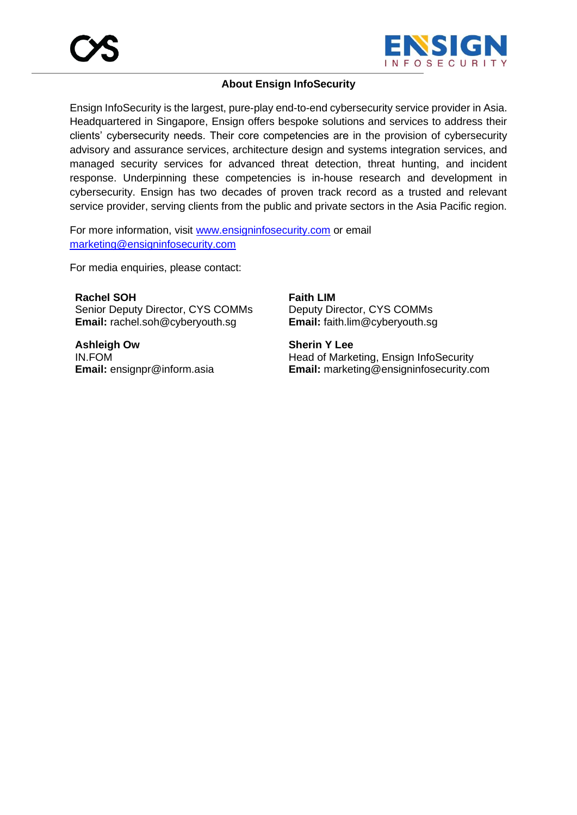

#### **About Ensign InfoSecurity**

Ensign InfoSecurity is the largest, pure-play end-to-end cybersecurity service provider in Asia. Headquartered in Singapore, Ensign offers bespoke solutions and services to address their clients' cybersecurity needs. Their core competencies are in the provision of cybersecurity advisory and assurance services, architecture design and systems integration services, and managed security services for advanced threat detection, threat hunting, and incident response. Underpinning these competencies is in-house research and development in cybersecurity. Ensign has two decades of proven track record as a trusted and relevant service provider, serving clients from the public and private sectors in the Asia Pacific region.

For more information, visit [www.ensigninfosecurity.com](http://www.ensigninfosecurity.com/) or email [marketing@ensigninfosecurity.com](mailto:marketing@ensigninfosecurity.com)

For media enquiries, please contact:

**Rachel SOH** Senior Deputy Director, CYS COMMs **Email:** rachel.soh@cyberyouth.sg

**Ashleigh Ow** IN.FOM **Email:** ensignpr@inform.asia **Faith LIM** Deputy Director, CYS COMMs **Email:** faith.lim@cyberyouth.sg

**Sherin Y Lee** Head of Marketing, Ensign InfoSecurity **Email:** marketing@ensigninfosecurity.com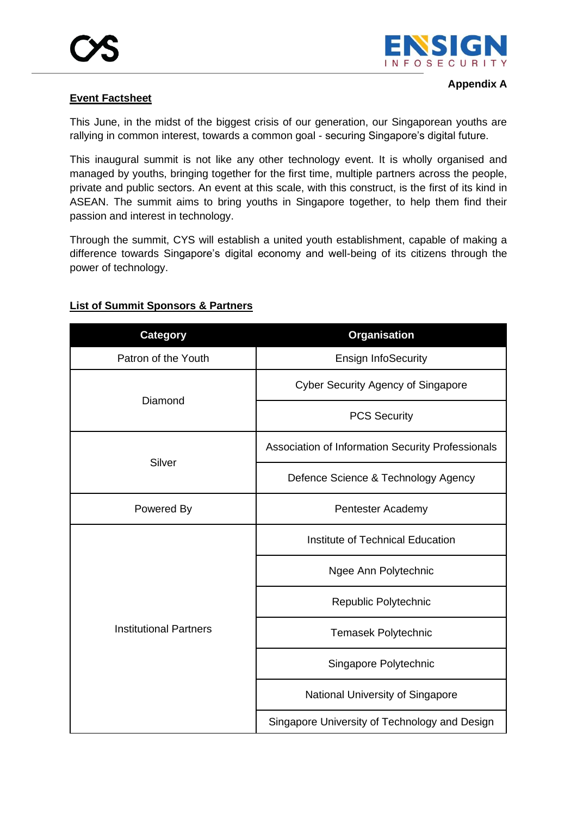

## **Event Factsheet**

This June, in the midst of the biggest crisis of our generation, our Singaporean youths are rallying in common interest, towards a common goal - securing Singapore's digital future.

This inaugural summit is not like any other technology event. It is wholly organised and managed by youths, bringing together for the first time, multiple partners across the people, private and public sectors. An event at this scale, with this construct, is the first of its kind in ASEAN. The summit aims to bring youths in Singapore together, to help them find their passion and interest in technology.

Through the summit, CYS will establish a united youth establishment, capable of making a difference towards Singapore's digital economy and well-being of its citizens through the power of technology.

| <b>Category</b>               | <b>Organisation</b>                               |
|-------------------------------|---------------------------------------------------|
| Patron of the Youth           | <b>Ensign InfoSecurity</b>                        |
| Diamond                       | <b>Cyber Security Agency of Singapore</b>         |
|                               | <b>PCS Security</b>                               |
| Silver                        | Association of Information Security Professionals |
|                               | Defence Science & Technology Agency               |
| Powered By                    | Pentester Academy                                 |
| <b>Institutional Partners</b> | Institute of Technical Education                  |
|                               | Ngee Ann Polytechnic                              |
|                               | Republic Polytechnic                              |
|                               | <b>Temasek Polytechnic</b>                        |
|                               | Singapore Polytechnic                             |
|                               | National University of Singapore                  |
|                               | Singapore University of Technology and Design     |

#### **List of Summit Sponsors & Partners**